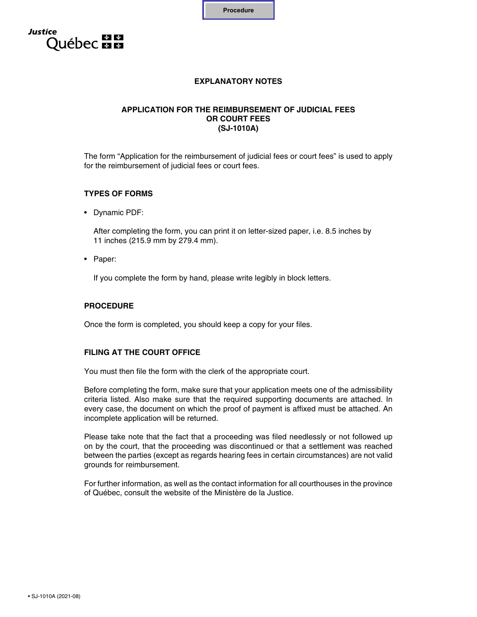



## **EXPLANATORY NOTES**

### **APPLICATION FOR THE REIMBURSEMENT OF JUDICIAL FEES OR COURT FEES (SJ-1010A)**

The form "Application for the reimbursement of judicial fees or court fees" is used to apply for the reimbursement of judicial fees or court fees.

### **TYPES OF FORMS**

• Dynamic PDF:

After completing the form, you can print it on letter-sized paper, i.e. 8.5 inches by 11 inches (215.9 mm by 279.4 mm).

• Paper:

If you complete the form by hand, please write legibly in block letters.

## **PROCEDURE**

Once the form is completed, you should keep a copy for your files.

#### **FILING AT THE COURT OFFICE**

You must then file the form with the clerk of the appropriate court.

Before completing the form, make sure that your application meets one of the admissibility criteria listed. Also make sure that the required supporting documents are attached. In every case, the document on which the proof of payment is affixed must be attached. An incomplete application will be returned.

Please take note that the fact that a proceeding was filed needlessly or not followed up on by the court, that the proceeding was discontinued or that a settlement was reached between the parties (except as regards hearing fees in certain circumstances) are not valid grounds for reimbursement.

For further information, as well as the contact information for all courthouses in the province of Québec, consult the website of the Ministère de la Justice.